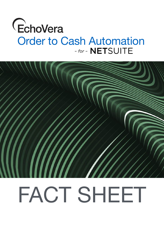## EchoVera Order to Cash Automation



# FACT SHEET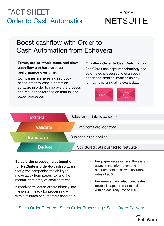## FACT SHEET Order to Cash Automation

## $-$  for  $-$ **NETSUITE**

## Boost cashflow with Order to Cash Automation from EchoVera

#### **Errors, out-of-stock items, and slow cash flow can hurt revenue performance over time.**

Companies are investing in cloudbased order-to-cash automation software in order to improve the process and reduce the reliance on manual and paper processes.

#### **EchoVera Order to Cash Automation**

EchoVera uses capture technology and automated processes to scan both paper and emailed invoices (in any format), capturing all relevant data.





#### **Sales order processing automation**

**for NetSuite** is order-to-cash software that gives companies the ability to move away from paper, fax and the manual data entry of emailed forms.

It receives validated orders directly into the system ready for processing – within minutes of customers sending it.

- **• For paper sales orders,** the system scans in the information and captures data fields with accuracy rates of 95%.
- **• For emailed and electronic sales orders** it captures essential data with an accuracy rate of 100%

### Sales Order Capture • Sales Order Processing • Sales Order Delivery